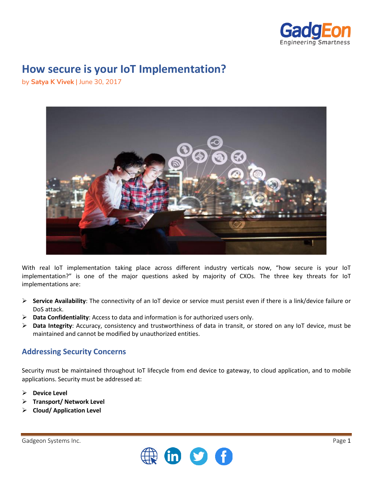

# **How secure is your IoT Implementation?**

by **Satya K Vivek** | June 30, 2017



With real IoT implementation taking place across different industry verticals now, "how secure is your IoT implementation?" is one of the major questions asked by majority of CXOs. The three key threats for IoT implementations are:

- ➢ **Service Availability**: The connectivity of an IoT device or service must persist even if there is a link/device failure or DoS attack.
- ➢ **Data Confidentiality**: Access to data and information is for authorized users only.
- ➢ **Data Integrity**: Accuracy, consistency and trustworthiness of data in transit, or stored on any IoT device, must be maintained and cannot be modified by unauthorized entities.

#### **Addressing Security Concerns**

Security must be maintained throughout IoT lifecycle from end device to gateway, to cloud application, and to mobile applications. Security must be addressed at:

- ➢ **Device Level**
- ➢ **Transport/ Network Level**
- ➢ **Cloud/ Application Level**

Gadgeon Systems Inc. **Page 1** and the state of the state of the state of the state of the state of the state of the state of the state of the state of the state of the state of the state of the state of the state of the st

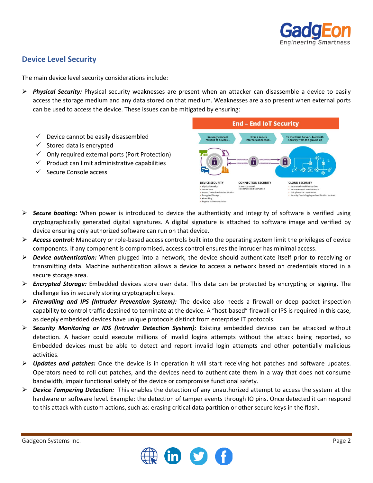

## **Device Level Security**

The main device level security considerations include:

- ➢ *Physical Security:* Physical security weaknesses are present when an attacker can disassemble a device to easily access the storage medium and any data stored on that medium. Weaknesses are also present when external ports can be used to access the device. These issues can be mitigated by ensuring:
	- $\checkmark$  Device cannot be easily disassembled
	- $\checkmark$  Stored data is encrypted
	- $\checkmark$  Only required external ports (Port Protection)
	- $\checkmark$  Product can limit administrative capabilities
	- ✓ Secure Console access



- ➢ *Secure booting:* When power is introduced to device the authenticity and integrity of software is verified using cryptographically generated digital signatures. A digital signature is attached to software image and verified by device ensuring only authorized software can run on that device.
- ➢ *Access control:* Mandatory or role-based access controls built into the operating system limit the privileges of device components. If any component is compromised, access control ensures the intruder has minimal access.
- ➢ *Device authentication:* When plugged into a network, the device should authenticate itself prior to receiving or transmitting data. Machine authentication allows a device to access a network based on credentials stored in a secure storage area.
- ➢ *Encrypted Storage:* Embedded devices store user data. This data can be protected by encrypting or signing. The challenge lies in securely storing cryptographic keys.
- ➢ *Firewalling and IPS (Intruder Prevention System):* The device also needs a firewall or deep packet inspection capability to control traffic destined to terminate at the device. A "host-based" firewall or IPS is required in this case, as deeply embedded devices have unique protocols distinct from enterprise IT protocols.
- ➢ *Security Monitoring or IDS (Intruder Detection System):* Existing embedded devices can be attacked without detection. A hacker could execute millions of invalid logins attempts without the attack being reported, so Embedded devices must be able to detect and report invalid login attempts and other potentially malicious activities.
- ➢ *Updates and patches:* Once the device is in operation it will start receiving hot patches and software updates. Operators need to roll out patches, and the devices need to authenticate them in a way that does not consume bandwidth, impair functional safety of the device or compromise functional safety.
- ➢ *Device Tampering Detection:* This enables the detection of any unauthorized attempt to access the system at the hardware or software level. Example: the detection of tamper events through IO pins. Once detected it can respond to this attack with custom actions, such as: erasing critical data partition or other secure keys in the flash.

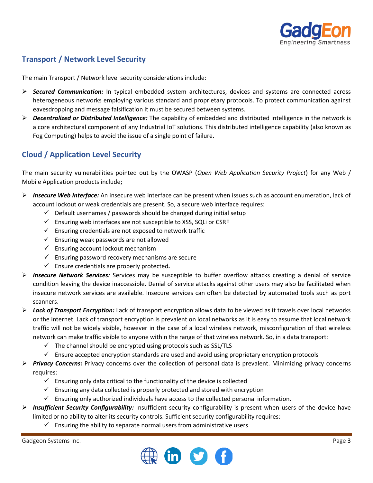

## **Transport / Network Level Security**

The main Transport / Network level security considerations include:

- ➢ *Secured Communication:* In typical embedded system architectures, devices and systems are connected across heterogeneous networks employing various standard and proprietary protocols. To protect communication against eavesdropping and message falsification it must be secured between systems.
- ➢ *Decentralized or Distributed Intelligence:* The capability of embedded and distributed intelligence in the network is a core architectural component of any Industrial IoT solutions. This distributed intelligence capability (also known as Fog Computing) helps to avoid the issue of a single point of failure.

### **Cloud / Application Level Security**

The main security vulnerabilities pointed out by the OWASP (*Open Web Application Security Project*) for any Web / Mobile Application products include;

- ➢ *Insecure Web Interface:* An insecure web interface can be present when issues such as account enumeration, lack of account lockout or weak credentials are present. So, a secure web interface requires:
	- $\checkmark$  Default usernames / passwords should be changed during initial setup
	- $\checkmark$  Ensuring web interfaces are not susceptible to XSS, SQLi or CSRF
	- $\checkmark$  Ensuring credentials are not exposed to network traffic
	- $\checkmark$  Ensuring weak passwords are not allowed
	- $\checkmark$  Ensuring account lockout mechanism
	- $\checkmark$  Ensuring password recovery mechanisms are secure
	- ✓ Ensure credentials are properly protected*.*
- ➢ *Insecure Network Services:* Services may be susceptible to buffer overflow attacks creating a denial of service condition leaving the device inaccessible. Denial of service attacks against other users may also be facilitated when insecure network services are available. Insecure services can often be detected by automated tools such as port scanners.
- ➢ *Lack of Transport Encryption:* Lack of transport encryption allows data to be viewed as it travels over local networks or the internet. Lack of transport encryption is prevalent on local networks as it is easy to assume that local network traffic will not be widely visible, however in the case of a local wireless network, misconfiguration of that wireless network can make traffic visible to anyone within the range of that wireless network. So, in a data transport:
	- $\checkmark$  The channel should be encrypted using protocols such as SSL/TLS
	- $\checkmark$  Ensure accepted encryption standards are used and avoid using proprietary encryption protocols
- ➢ *Privacy Concerns:* Privacy concerns over the collection of personal data is prevalent. Minimizing privacy concerns requires:
	- $\checkmark$  Ensuring only data critical to the functionality of the device is collected
	- $\checkmark$  Ensuring any data collected is properly protected and stored with encryption
	- $\checkmark$  Ensuring only authorized individuals have access to the collected personal information.
- ➢ *Insufficient Security Configurability:* Insufficient security configurability is present when users of the device have limited or no ability to alter its security controls. Sufficient security configurability requires:
	- $\checkmark$  Ensuring the ability to separate normal users from administrative users

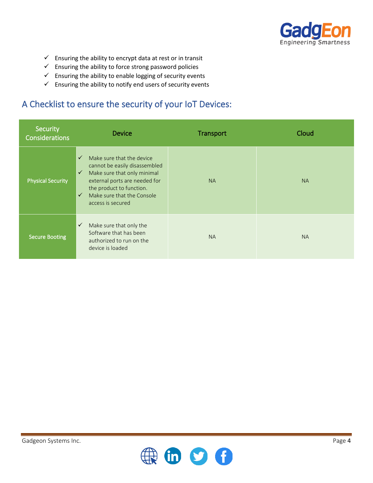

- $\checkmark$  Ensuring the ability to encrypt data at rest or in transit
- $\checkmark$  Ensuring the ability to force strong password policies
- $\checkmark$  Ensuring the ability to enable logging of security events
- $\checkmark$  Ensuring the ability to notify end users of security events

## A Checklist to ensure the security of your IoT Devices:

| Security<br>Considerations | <b>Device</b>                                                                                                                                                                                                                                             | Transport | Cloud     |
|----------------------------|-----------------------------------------------------------------------------------------------------------------------------------------------------------------------------------------------------------------------------------------------------------|-----------|-----------|
| <b>Physical Security</b>   | Make sure that the device<br>$\checkmark$<br>cannot be easily disassembled<br>Make sure that only minimal<br>$\checkmark$<br>external ports are needed for<br>the product to function.<br>Make sure that the Console<br>$\checkmark$<br>access is secured | <b>NA</b> | <b>NA</b> |
| <b>Secure Booting</b>      | $\checkmark$<br>Make sure that only the<br>Software that has been<br>authorized to run on the<br>device is loaded                                                                                                                                         | <b>NA</b> | <b>NA</b> |

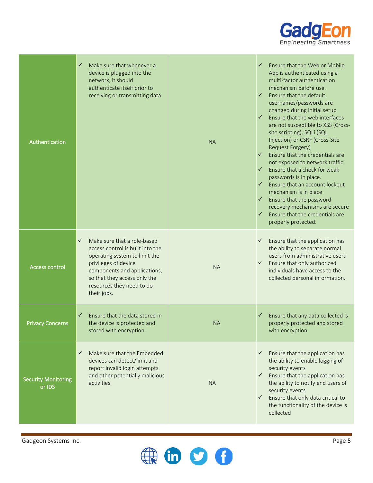

| Authentication                       | ✓<br>Make sure that whenever a<br>device is plugged into the<br>network, it should<br>authenticate itself prior to<br>receiving or transmitting data                                                                                                 | <b>NA</b> | $\checkmark$<br>Ensure that the Web or Mobile<br>App is authenticated using a<br>multi-factor authentication<br>mechanism before use.<br>$\checkmark$<br>Ensure that the default<br>usernames/passwords are<br>changed during initial setup<br>$\checkmark$ Ensure that the web interfaces<br>are not susceptible to XSS (Cross-<br>site scripting), SQLi (SQL<br>Injection) or CSRF (Cross-Site<br><b>Request Forgery)</b><br>Ensure that the credentials are<br>$\checkmark$<br>not exposed to network traffic<br>Ensure that a check for weak<br>$\checkmark$<br>passwords is in place.<br>Ensure that an account lockout<br>$\checkmark$<br>mechanism is in place<br>Ensure that the password<br>$\checkmark$<br>recovery mechanisms are secure<br>Ensure that the credentials are<br>$\checkmark$<br>properly protected. |
|--------------------------------------|------------------------------------------------------------------------------------------------------------------------------------------------------------------------------------------------------------------------------------------------------|-----------|-------------------------------------------------------------------------------------------------------------------------------------------------------------------------------------------------------------------------------------------------------------------------------------------------------------------------------------------------------------------------------------------------------------------------------------------------------------------------------------------------------------------------------------------------------------------------------------------------------------------------------------------------------------------------------------------------------------------------------------------------------------------------------------------------------------------------------|
| <b>Access control</b>                | $\checkmark$<br>Make sure that a role-based<br>access control is built into the<br>operating system to limit the<br>privileges of device<br>components and applications,<br>so that they access only the<br>resources they need to do<br>their jobs. | <b>NA</b> | Ensure that the application has<br>$\checkmark$<br>the ability to separate normal<br>users from administrative users<br>Ensure that only authorized<br>$\checkmark$<br>individuals have access to the<br>collected personal information.                                                                                                                                                                                                                                                                                                                                                                                                                                                                                                                                                                                      |
| <b>Privacy Concerns</b>              | $\checkmark$<br>Ensure that the data stored in<br>the device is protected and<br>stored with encryption.                                                                                                                                             | <b>NA</b> | Ensure that any data collected is<br>$\checkmark$<br>properly protected and stored<br>with encryption                                                                                                                                                                                                                                                                                                                                                                                                                                                                                                                                                                                                                                                                                                                         |
| <b>Security Monitoring</b><br>or IDS | Make sure that the Embedded<br>$\checkmark$<br>devices can detect/limit and<br>report invalid login attempts<br>and other potentially malicious<br>activities.                                                                                       | <b>NA</b> | Ensure that the application has<br>$\checkmark$<br>the ability to enable logging of<br>security events<br>Ensure that the application has<br>$\checkmark$<br>the ability to notify end users of<br>security events<br>Ensure that only data critical to<br>$\checkmark$<br>the functionality of the device is<br>collected                                                                                                                                                                                                                                                                                                                                                                                                                                                                                                    |

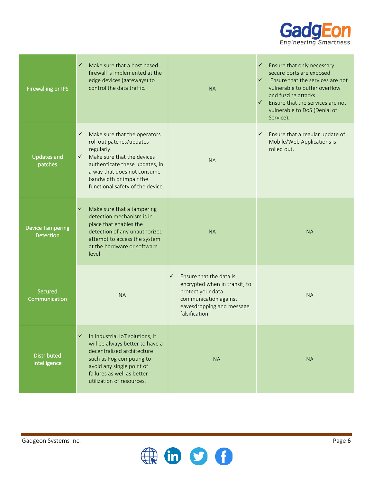

| <b>Firewalling or IPS</b>                   | $\checkmark$<br>Make sure that a host based<br>firewall is implemented at the<br>edge devices (gateways) to<br>control the data traffic.                                                                                                                          | <b>NA</b>                                                                                                                                                             | Ensure that only necessary<br>$\checkmark$<br>secure ports are exposed<br>$\checkmark$<br>Ensure that the services are not<br>vulnerable to buffer overflow<br>and fuzzing attacks<br>Ensure that the services are not<br>$\checkmark$<br>vulnerable to DoS (Denial of<br>Service). |
|---------------------------------------------|-------------------------------------------------------------------------------------------------------------------------------------------------------------------------------------------------------------------------------------------------------------------|-----------------------------------------------------------------------------------------------------------------------------------------------------------------------|-------------------------------------------------------------------------------------------------------------------------------------------------------------------------------------------------------------------------------------------------------------------------------------|
| <b>Updates and</b><br>patches               | Make sure that the operators<br>$\checkmark$<br>roll out patches/updates<br>regularly.<br>$\checkmark$ Make sure that the devices<br>authenticate these updates, in<br>a way that does not consume<br>bandwidth or impair the<br>functional safety of the device. | <b>NA</b>                                                                                                                                                             | Ensure that a regular update of<br>$\checkmark$<br>Mobile/Web Applications is<br>rolled out.                                                                                                                                                                                        |
| <b>Device Tampering</b><br><b>Detection</b> | Make sure that a tampering<br>$\checkmark$<br>detection mechanism is in<br>place that enables the<br>detection of any unauthorized<br>attempt to access the system<br>at the hardware or software<br>level                                                        | <b>NA</b>                                                                                                                                                             | <b>NA</b>                                                                                                                                                                                                                                                                           |
| Secured<br>Communication                    | <b>NA</b>                                                                                                                                                                                                                                                         | $\checkmark$<br>Ensure that the data is<br>encrypted when in transit, to<br>protect your data<br>communication against<br>eavesdropping and message<br>falsification. | <b>NA</b>                                                                                                                                                                                                                                                                           |
| <b>Distributed</b><br>Intelligence          | $\checkmark$<br>In Industrial IoT solutions, it<br>will be always better to have a<br>decentralized architecture<br>such as Fog computing to<br>avoid any single point of<br>failures as well as better<br>utilization of resources.                              | <b>NA</b>                                                                                                                                                             | <b>NA</b>                                                                                                                                                                                                                                                                           |